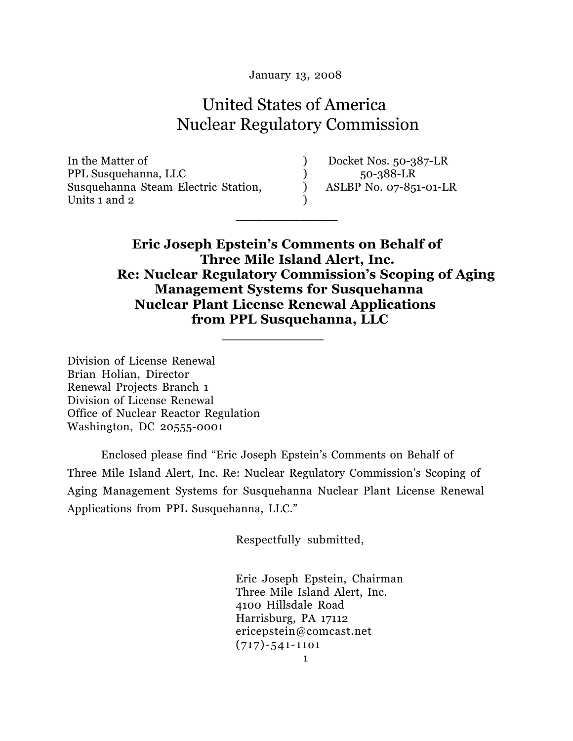January 13, 2008

# United States of America Nuclear Regulatory Commission

**\_\_\_\_\_\_\_\_\_\_\_** 

In the Matter of  $\qquad \qquad$  Docket Nos. 50-387-LR PPL Susquehanna, LLC (30-388-LR) Susquehanna Steam Electric Station, (and ASLBP No. 07-851-01-LR Units 1 and 2 )

 **Eric Joseph Epstein's Comments on Behalf of Three Mile Island Alert, Inc. Re: Nuclear Regulatory Commission's Scoping of Aging Management Systems for Susquehanna Nuclear Plant License Renewal Applications from PPL Susquehanna, LLC \_\_\_\_\_\_\_\_\_\_\_**

Division of License Renewal Brian Holian, Director Renewal Projects Branch 1 Division of License Renewal Office of Nuclear Reactor Regulation Washington, DC 20555-0001

Enclosed please find "Eric Joseph Epstein's Comments on Behalf of Three Mile Island Alert, Inc. Re: Nuclear Regulatory Commission's Scoping of Aging Management Systems for Susquehanna Nuclear Plant License Renewal Applications from PPL Susquehanna, LLC."

Respectfully submitted,

 Eric Joseph Epstein, Chairman Three Mile Island Alert, Inc. 4100 Hillsdale Road Harrisburg, PA 17112 ericepstein@comcast.net (717)-541-11o1 1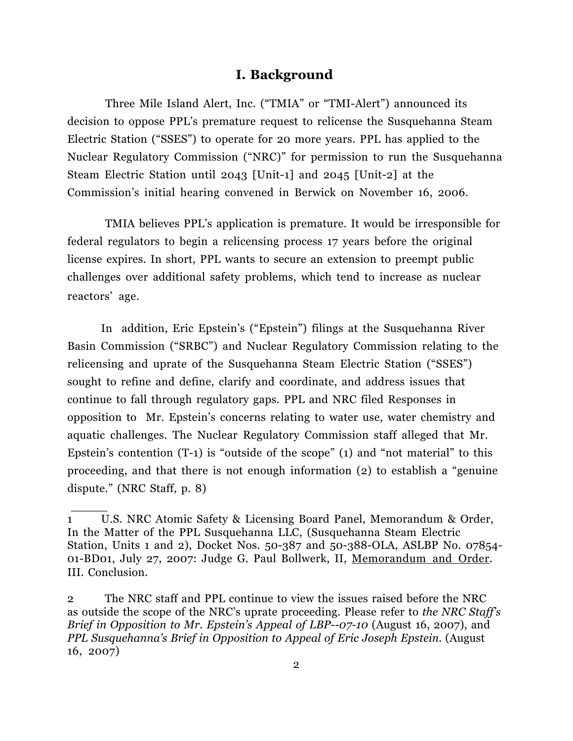### **I. Background**

 Three Mile Island Alert, Inc. ("TMIA" or "TMI-Alert") announced its decision to oppose PPL's premature request to relicense the Susquehanna Steam Electric Station ("SSES") to operate for 20 more years. PPL has applied to the Nuclear Regulatory Commission ("NRC)" for permission to run the Susquehanna Steam Electric Station until 2043 [Unit-1] and 2045 [Unit-2] at the Commission's initial hearing convened in Berwick on November 16, 2006.

TMIA believes PPL's application is premature. It would be irresponsible for federal regulators to begin a relicensing process 17 years before the original license expires. In short, PPL wants to secure an extension to preempt public challenges over additional safety problems, which tend to increase as nuclear reactors' age.

In addition, Eric Epstein's ("Epstein") filings at the Susquehanna River Basin Commission ("SRBC") and Nuclear Regulatory Commission relating to the relicensing and uprate of the Susquehanna Steam Electric Station ("SSES") sought to refine and define, clarify and coordinate, and address issues that continue to fall through regulatory gaps. PPL and NRC filed Responses in opposition to Mr. Epstein's concerns relating to water use, water chemistry and aquatic challenges. The Nuclear Regulatory Commission staff alleged that Mr. Epstein's contention (T-1) is "outside of the scope" (1) and "not material" to this proceeding, and that there is not enough information (2) to establish a "genuine dispute." (NRC Staff, p. 8)

\_\_\_\_\_

<sup>1</sup> U.S. NRC Atomic Safety & Licensing Board Panel, Memorandum & Order, In the Matter of the PPL Susquehanna LLC, (Susquehanna Steam Electric Station, Units 1 and 2), Docket Nos. 50-387 and 50-388-OLA, ASLBP No. 07854- 01-BD01, July 27, 2007: Judge G. Paul Bollwerk, II, Memorandum and Order. III. Conclusion.

<sup>2</sup> The NRC staff and PPL continue to view the issues raised before the NRC as outside the scope of the NRC's uprate proceeding. Please refer to *the NRC Staff's Brief in Opposition to Mr. Epstein's Appeal of LBP--07-10 (August 16, 2007), and PPL Susquehanna's Brief in Opposition to Appeal of Eric Joseph Epstein.* (August 16, 2007)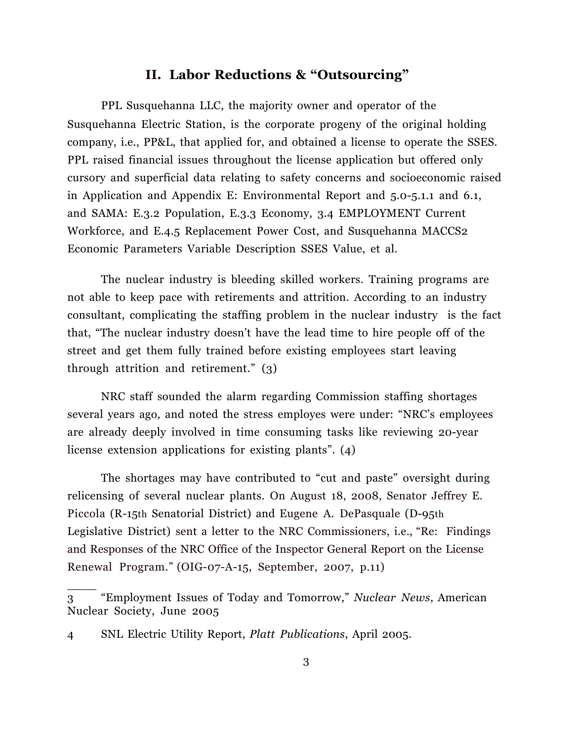## **II. Labor Reductions & "Outsourcing"**

PPL Susquehanna LLC, the majority owner and operator of the Susquehanna Electric Station, is the corporate progeny of the original holding company, i.e., PP&L, that applied for, and obtained a license to operate the SSES. PPL raised financial issues throughout the license application but offered only cursory and superficial data relating to safety concerns and socioeconomic raised in Application and Appendix E: Environmental Report and 5.0-5.1.1 and 6.1, and SAMA: E.3.2 Population, E.3.3 Economy, 3.4 EMPLOYMENT Current Workforce, and E.4.5 Replacement Power Cost, and Susquehanna MACCS2 Economic Parameters Variable Description SSES Value, et al.

The nuclear industry is bleeding skilled workers. Training programs are not able to keep pace with retirements and attrition. According to an industry consultant, complicating the staffing problem in the nuclear industry is the fact that, "The nuclear industry doesn't have the lead time to hire people off of the street and get them fully trained before existing employees start leaving through attrition and retirement." (3)

NRC staff sounded the alarm regarding Commission staffing shortages several years ago, and noted the stress employes were under: "NRC's employees are already deeply involved in time consuming tasks like reviewing 20-year license extension applications for existing plants". (4)

The shortages may have contributed to "cut and paste" oversight during relicensing of several nuclear plants. On August 18, 2008, Senator Jeffrey E. Piccola (R-15th Senatorial District) and Eugene A. DePasquale (D-95th Legislative District) sent a letter to the NRC Commissioners, i.e., "Re: Findings and Responses of the NRC Office of the Inspector General Report on the License Renewal Program." (OIG-07-A-15, September, 2007, p.11)

<sup>3</sup> "Employment Issues of Today and Tomorrow," *Nuclear News*, American Nuclear Society, June 2005

<sup>4</sup> SNL Electric Utility Report, *Platt Publications*, April 2005.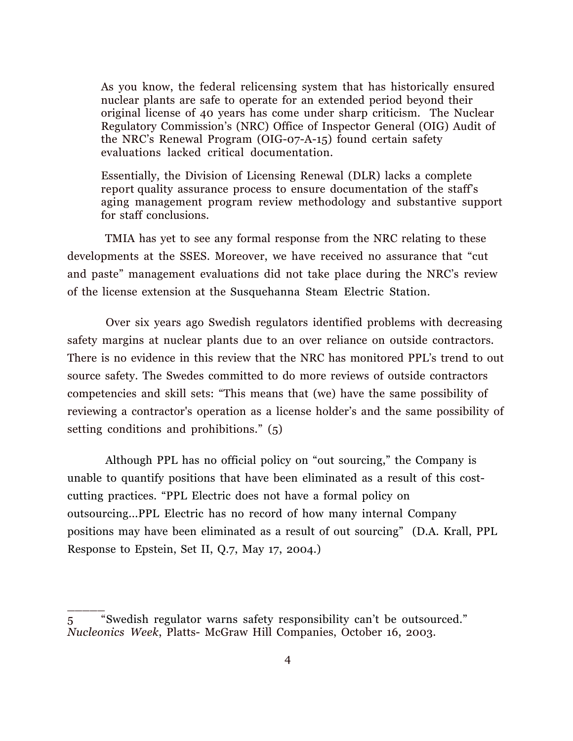As you know, the federal relicensing system that has historically ensured nuclear plants are safe to operate for an extended period beyond their original license of 40 years has come under sharp criticism. The Nuclear Regulatory Commission's (NRC) Office of Inspector General (OIG) Audit of the NRC's Renewal Program (OIG-07-A-15) found certain safety evaluations lacked critical documentation.

Essentially, the Division of Licensing Renewal (DLR) lacks a complete report quality assurance process to ensure documentation of the staff's aging management program review methodology and substantive support for staff conclusions.

TMIA has yet to see any formal response from the NRC relating to these developments at the SSES. Moreover, we have received no assurance that "cut and paste" management evaluations did not take place during the NRC's review of the license extension at the Susquehanna Steam Electric Station.

Over six years ago Swedish regulators identified problems with decreasing safety margins at nuclear plants due to an over reliance on outside contractors. There is no evidence in this review that the NRC has monitored PPL's trend to out source safety. The Swedes committed to do more reviews of outside contractors competencies and skill sets: "This means that (we) have the same possibility of reviewing a contractor's operation as a license holder's and the same possibility of setting conditions and prohibitions." (5)

Although PPL has no official policy on "out sourcing," the Company is unable to quantify positions that have been eliminated as a result of this costcutting practices. "PPL Electric does not have a formal policy on outsourcing...PPL Electric has no record of how many internal Company positions may have been eliminated as a result of out sourcing" (D.A. Krall, PPL Response to Epstein, Set II, Q.7, May 17, 2004.)

<sup>5</sup> "Swedish regulator warns safety responsibility can't be outsourced." *Nucleonics Week*, Platts- McGraw Hill Companies, October 16, 2003.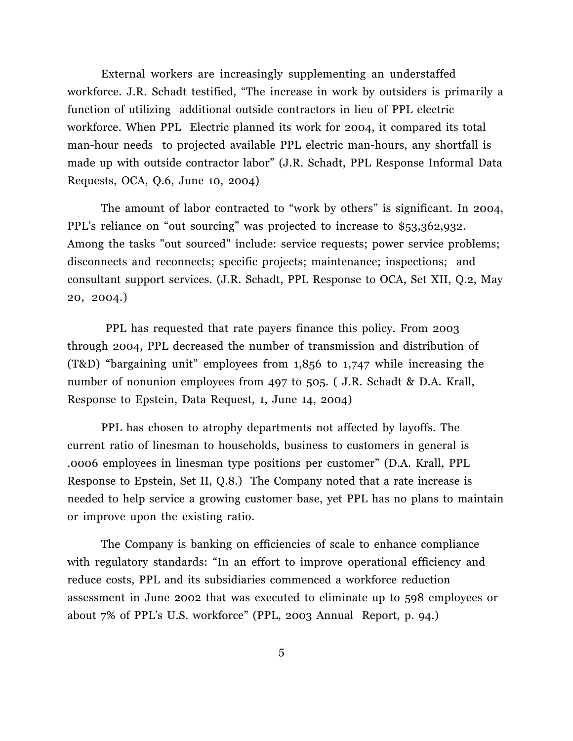External workers are increasingly supplementing an understaffed workforce. J.R. Schadt testified, "The increase in work by outsiders is primarily a function of utilizing additional outside contractors in lieu of PPL electric workforce. When PPL Electric planned its work for 2004, it compared its total man-hour needs to projected available PPL electric man-hours, any shortfall is made up with outside contractor labor" (J.R. Schadt, PPL Response Informal Data Requests, OCA, Q.6, June 10, 2004)

 The amount of labor contracted to "work by others" is significant. In 2004, PPL's reliance on "out sourcing" was projected to increase to \$53,362,932. Among the tasks "out sourced" include: service requests; power service problems; disconnects and reconnects; specific projects; maintenance; inspections; and consultant support services. (J.R. Schadt, PPL Response to OCA, Set XII, Q.2, May 20, 2004.)

PPL has requested that rate payers finance this policy. From 2003 through 2004, PPL decreased the number of transmission and distribution of (T&D) "bargaining unit" employees from 1,856 to 1,747 while increasing the number of nonunion employees from 497 to 505. (J.R. Schadt & D.A. Krall, Response to Epstein, Data Request, 1, June 14, 2004)

PPL has chosen to atrophy departments not affected by layoffs. The current ratio of linesman to households, business to customers in general is .0006 employees in linesman type positions per customer" (D.A. Krall, PPL Response to Epstein, Set II, Q.8.) The Company noted that a rate increase is needed to help service a growing customer base, yet PPL has no plans to maintain or improve upon the existing ratio.

The Company is banking on efficiencies of scale to enhance compliance with regulatory standards: "In an effort to improve operational efficiency and reduce costs, PPL and its subsidiaries commenced a workforce reduction assessment in June 2002 that was executed to eliminate up to 598 employees or about 7% of PPL's U.S. workforce" (PPL, 2003 Annual Report, p. 94.)

5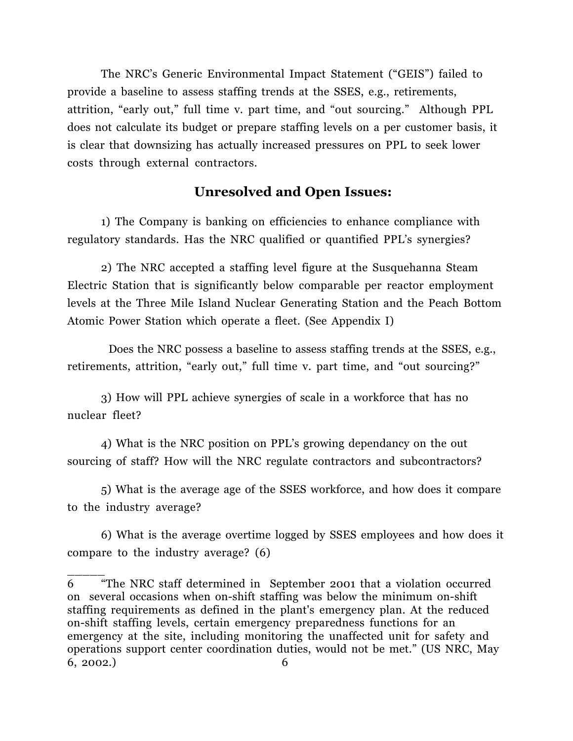The NRC's Generic Environmental Impact Statement ("GEIS") failed to provide a baseline to assess staffing trends at the SSES, e.g., retirements, attrition, "early out," full time v. part time, and "out sourcing." Although PPL does not calculate its budget or prepare staffing levels on a per customer basis, it is clear that downsizing has actually increased pressures on PPL to seek lower costs through external contractors.

## **Unresolved and Open Issues:**

1) The Company is banking on efficiencies to enhance compliance with regulatory standards. Has the NRC qualified or quantified PPL's synergies?

2) The NRC accepted a staffing level figure at the Susquehanna Steam Electric Station that is significantly below comparable per reactor employment levels at the Three Mile Island Nuclear Generating Station and the Peach Bottom Atomic Power Station which operate a fleet. (See Appendix I)

 Does the NRC possess a baseline to assess staffing trends at the SSES, e.g., retirements, attrition, "early out," full time v. part time, and "out sourcing?"

3) How will PPL achieve synergies of scale in a workforce that has no nuclear fleet?

4) What is the NRC position on PPL's growing dependancy on the out sourcing of staff? How will the NRC regulate contractors and subcontractors?

5) What is the average age of the SSES workforce, and how does it compare to the industry average?

6) What is the average overtime logged by SSES employees and how does it compare to the industry average? (6)

<sup>6</sup> "The NRC staff determined in September 2001 that a violation occurred on several occasions when on-shift staffing was below the minimum on-shift staffing requirements as defined in the plant's emergency plan. At the reduced on-shift staffing levels, certain emergency preparedness functions for an emergency at the site, including monitoring the unaffected unit for safety and operations support center coordination duties, would not be met." (US NRC, May 6, 2002.) 6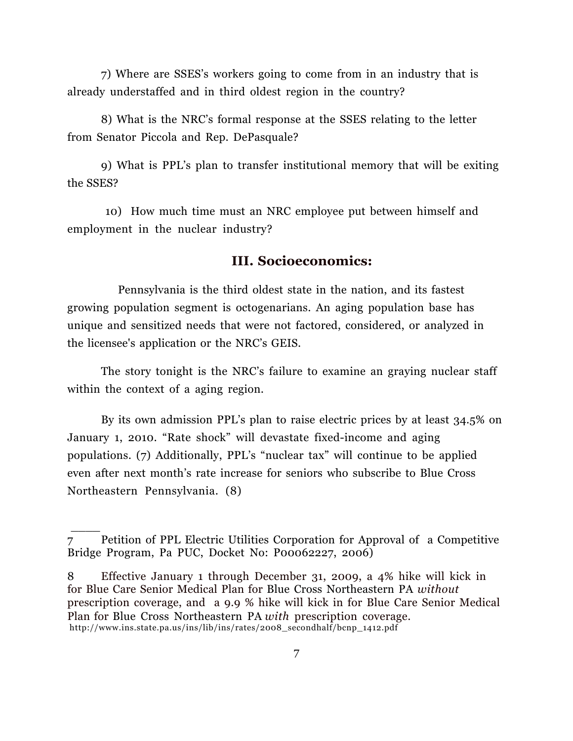7) Where are SSES's workers going to come from in an industry that is already understaffed and in third oldest region in the country?

8) What is the NRC's formal response at the SSES relating to the letter from Senator Piccola and Rep. DePasquale?

9) What is PPL's plan to transfer institutional memory that will be exiting the SSES?

10) How much time must an NRC employee put between himself and employment in the nuclear industry?

#### **III. Socioeconomics:**

 Pennsylvania is the third oldest state in the nation, and its fastest growing population segment is octogenarians. An aging population base has unique and sensitized needs that were not factored, considered, or analyzed in the licensee's application or the NRC's GEIS.

The story tonight is the NRC's failure to examine an graying nuclear staff within the context of a aging region.

By its own admission PPL's plan to raise electric prices by at least 34.5% on January 1, 2010. "Rate shock" will devastate fixed-income and aging populations. (7) Additionally, PPL's "nuclear tax" will continue to be applied even after next month's rate increase for seniors who subscribe to Blue Cross Northeastern Pennsylvania. (8)

\_\_\_\_

<sup>7</sup> Petition of PPL Electric Utilities Corporation for Approval of a Competitive Bridge Program, Pa PUC, Docket No: P00062227, 2006)

<sup>8</sup> Effective January 1 through December 31, 2009, a 4% hike will kick in for Blue Care Senior Medical Plan for Blue Cross Northeastern PA *without* prescription coverage, and a 9.9 % hike will kick in for Blue Care Senior Medical Plan for Blue Cross Northeastern PA *with* prescription coverage. http://www.ins.state.pa.us/ins/lib/ins/rates/2008\_secondhalf/bcnp\_1412.pdf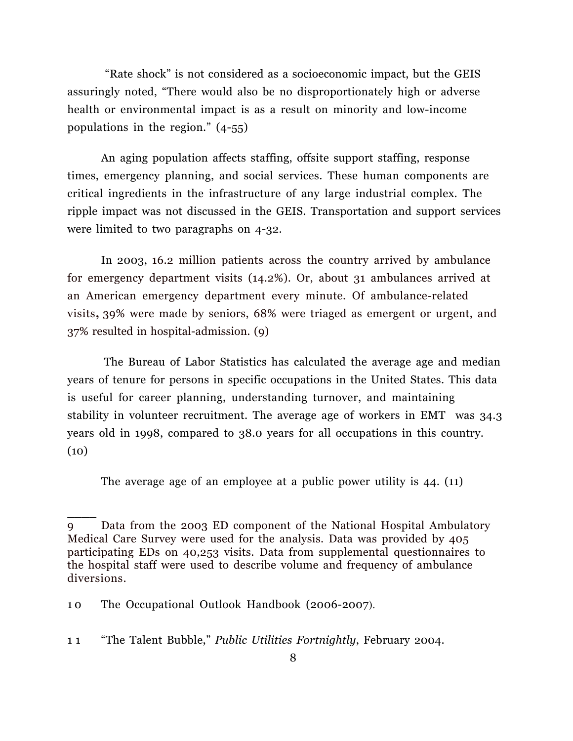"Rate shock" is not considered as a socioeconomic impact, but the GEIS assuringly noted, "There would also be no disproportionately high or adverse health or environmental impact is as a result on minority and low-income populations in the region." (4-55)

An aging population affects staffing, offsite support staffing, response times, emergency planning, and social services. These human components are critical ingredients in the infrastructure of any large industrial complex. The ripple impact was not discussed in the GEIS. Transportation and support services were limited to two paragraphs on 4-32.

In 2003, 16.2 million patients across the country arrived by ambulance for emergency department visits (14.2%). Or, about 31 ambulances arrived at an American emergency department every minute. Of ambulance-related visits**,** 39% were made by seniors, 68% were triaged as emergent or urgent, and 37% resulted in hospital-admission. (9)

The Bureau of Labor Statistics has calculated the average age and median years of tenure for persons in specific occupations in the United States. This data is useful for career planning, understanding turnover, and maintaining stability in volunteer recruitment. The average age of workers in EMT was 34.3 years old in 1998, compared to 38.0 years for all occupations in this country.  $(10)$ 

The average age of an employee at a public power utility is 44. (11)

<sup>9</sup> Data from the 2003 ED component of the National Hospital Ambulatory Medical Care Survey were used for the analysis. Data was provided by 405 participating EDs on 40,253 visits. Data from supplemental questionnaires to the hospital staff were used to describe volume and frequency of ambulance diversions.

<sup>10</sup> The Occupational Outlook Handbook (2006-2007).

<sup>1 1</sup> "The Talent Bubble," *Public Utilities Fortnightly*, February 2004.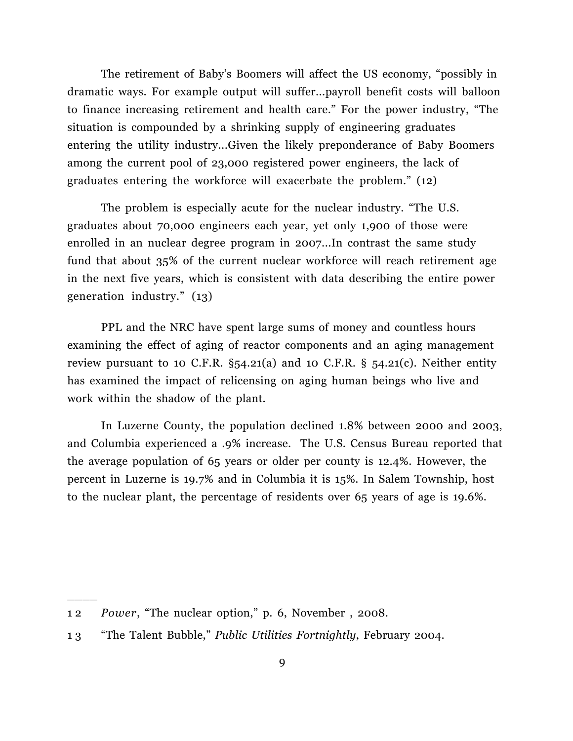The retirement of Baby's Boomers will affect the US economy, "possibly in dramatic ways. For example output will suffer...payroll benefit costs will balloon to finance increasing retirement and health care." For the power industry, "The situation is compounded by a shrinking supply of engineering graduates entering the utility industry...Given the likely preponderance of Baby Boomers among the current pool of 23,000 registered power engineers, the lack of graduates entering the workforce will exacerbate the problem." (12)

The problem is especially acute for the nuclear industry. "The U.S. graduates about 70,000 engineers each year, yet only 1,900 of those were enrolled in an nuclear degree program in 2007...In contrast the same study fund that about 35% of the current nuclear workforce will reach retirement age in the next five years, which is consistent with data describing the entire power generation industry." (13)

 PPL and the NRC have spent large sums of money and countless hours examining the effect of aging of reactor components and an aging management review pursuant to 10 C.F.R.  $\S$ 54.21(a) and 10 C.F.R.  $\S$  54.21(c). Neither entity has examined the impact of relicensing on aging human beings who live and work within the shadow of the plant.

 In Luzerne County, the population declined 1.8% between 2000 and 2003, and Columbia experienced a .9% increase. The U.S. Census Bureau reported that the average population of 65 years or older per county is 12.4%. However, the percent in Luzerne is 19.7% and in Columbia it is 15%. In Salem Township, host to the nuclear plant, the percentage of residents over 65 years of age is 19.6%.

<sup>1 2</sup> *Power*, "The nuclear option," p. 6, November , 2008.

<sup>1 3</sup> "The Talent Bubble," *Public Utilities Fortnightly*, February 2004.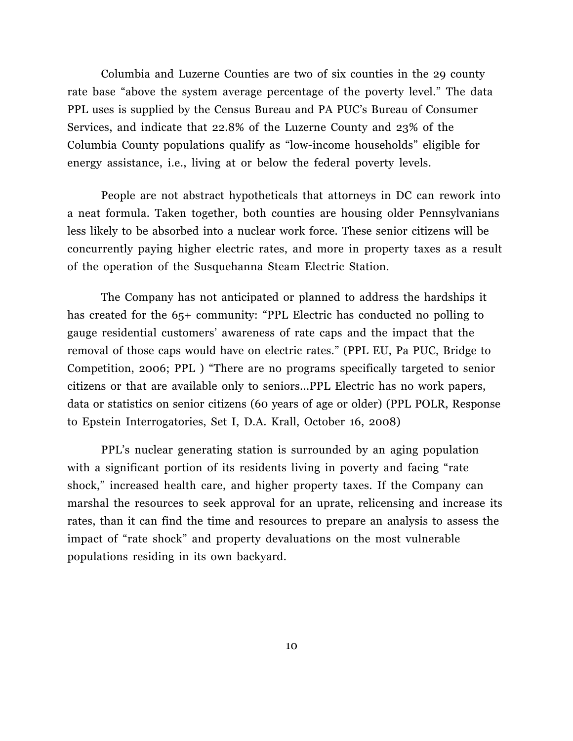Columbia and Luzerne Counties are two of six counties in the 29 county rate base "above the system average percentage of the poverty level." The data PPL uses is supplied by the Census Bureau and PA PUC's Bureau of Consumer Services, and indicate that 22.8% of the Luzerne County and 23% of the Columbia County populations qualify as "low-income households" eligible for energy assistance, i.e., living at or below the federal poverty levels.

People are not abstract hypotheticals that attorneys in DC can rework into a neat formula. Taken together, both counties are housing older Pennsylvanians less likely to be absorbed into a nuclear work force. These senior citizens will be concurrently paying higher electric rates, and more in property taxes as a result of the operation of the Susquehanna Steam Electric Station.

 The Company has not anticipated or planned to address the hardships it has created for the 65+ community: "PPL Electric has conducted no polling to gauge residential customers' awareness of rate caps and the impact that the removal of those caps would have on electric rates." (PPL EU, Pa PUC, Bridge to Competition, 2006; PPL ) "There are no programs specifically targeted to senior citizens or that are available only to seniors...PPL Electric has no work papers, data or statistics on senior citizens (60 years of age or older) (PPL POLR, Response to Epstein Interrogatories, Set I, D.A. Krall, October 16, 2008)

PPL's nuclear generating station is surrounded by an aging population with a significant portion of its residents living in poverty and facing "rate shock," increased health care, and higher property taxes. If the Company can marshal the resources to seek approval for an uprate, relicensing and increase its rates, than it can find the time and resources to prepare an analysis to assess the impact of "rate shock" and property devaluations on the most vulnerable populations residing in its own backyard.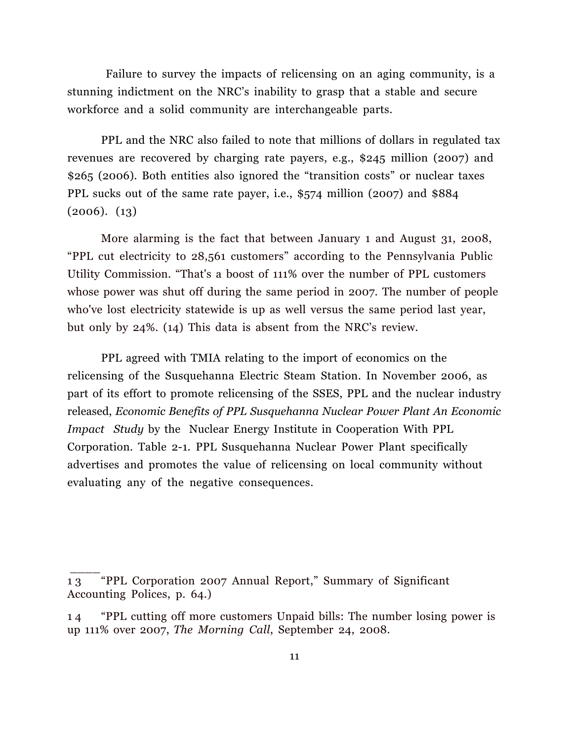Failure to survey the impacts of relicensing on an aging community, is a stunning indictment on the NRC's inability to grasp that a stable and secure workforce and a solid community are interchangeable parts.

PPL and the NRC also failed to note that millions of dollars in regulated tax revenues are recovered by charging rate payers, e.g., \$245 million (2007) and \$265 (2006). Both entities also ignored the "transition costs" or nuclear taxes PPL sucks out of the same rate payer, i.e., \$574 million (2007) and \$884  $(2006)$ .  $(13)$ 

More alarming is the fact that between January 1 and August 31, 2008, "PPL cut electricity to 28,561 customers" according to the Pennsylvania Public Utility Commission. "That's a boost of 111% over the number of PPL customers whose power was shut off during the same period in 2007. The number of people who've lost electricity statewide is up as well versus the same period last year, but only by 24%. (14) This data is absent from the NRC's review.

 PPL agreed with TMIA relating to the import of economics on the relicensing of the Susquehanna Electric Steam Station. In November 2006, as part of its effort to promote relicensing of the SSES, PPL and the nuclear industry released, *Economic Benefits of PPL Susquehanna Nuclear Power Plant An Economic Impact Study* by the Nuclear Energy Institute in Cooperation With PPL Corporation. Table 2-1. PPL Susquehanna Nuclear Power Plant specifically advertises and promotes the value of relicensing on local community without evaluating any of the negative consequences.

<sup>1 3</sup> "PPL Corporation 2007 Annual Report," Summary of Significant Accounting Polices, p. 64.)

<sup>1 4</sup> "PPL cutting off more customers Unpaid bills: The number losing power is up 111% over 2007, *The Morning Call*, September 24, 2008.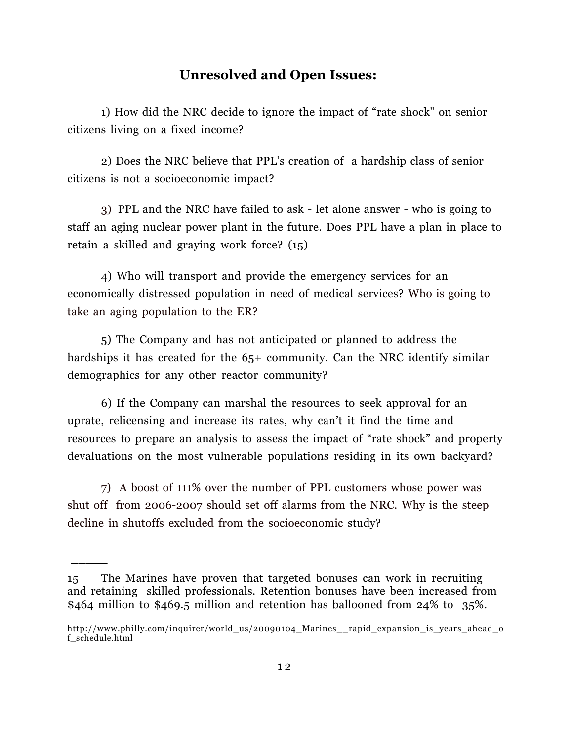### **Unresolved and Open Issues:**

1) How did the NRC decide to ignore the impact of "rate shock" on senior citizens living on a fixed income?

 2) Does the NRC believe that PPL's creation of a hardship class of senior citizens is not a socioeconomic impact?

3) PPL and the NRC have failed to ask - let alone answer - who is going to staff an aging nuclear power plant in the future. Does PPL have a plan in place to retain a skilled and graying work force? (15)

4) Who will transport and provide the emergency services for an economically distressed population in need of medical services? Who is going to take an aging population to the ER?

 5) The Company and has not anticipated or planned to address the hardships it has created for the 65+ community. Can the NRC identify similar demographics for any other reactor community?

6) If the Company can marshal the resources to seek approval for an uprate, relicensing and increase its rates, why can't it find the time and resources to prepare an analysis to assess the impact of "rate shock" and property devaluations on the most vulnerable populations residing in its own backyard?

7) A boost of 111% over the number of PPL customers whose power was shut off from 2006-2007 should set off alarms from the NRC. Why is the steep decline in shutoffs excluded from the socioeconomic study?

<sup>15</sup> The Marines have proven that targeted bonuses can work in recruiting and retaining skilled professionals. Retention bonuses have been increased from \$464 million to \$469.5 million and retention has ballooned from 24% to 35%.

http://www.philly.com/inquirer/world\_us/20090104\_Marines\_\_rapid\_expansion\_is\_years\_ahead\_o f\_schedule.html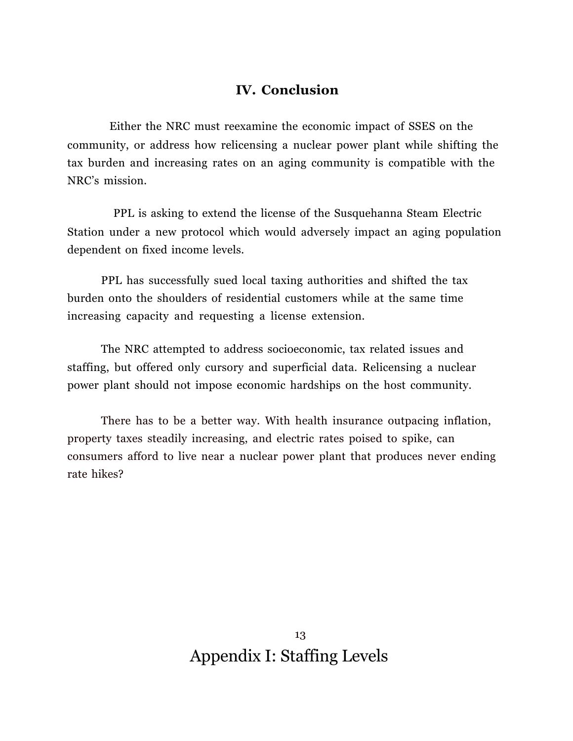## **IV. Conclusion**

 Either the NRC must reexamine the economic impact of SSES on the community, or address how relicensing a nuclear power plant while shifting the tax burden and increasing rates on an aging community is compatible with the NRC's mission.

 PPL is asking to extend the license of the Susquehanna Steam Electric Station under a new protocol which would adversely impact an aging population dependent on fixed income levels.

PPL has successfully sued local taxing authorities and shifted the tax burden onto the shoulders of residential customers while at the same time increasing capacity and requesting a license extension.

The NRC attempted to address socioeconomic, tax related issues and staffing, but offered only cursory and superficial data. Relicensing a nuclear power plant should not impose economic hardships on the host community.

There has to be a better way. With health insurance outpacing inflation, property taxes steadily increasing, and electric rates poised to spike, can consumers afford to live near a nuclear power plant that produces never ending rate hikes?

> 13 Appendix I: Staffing Levels